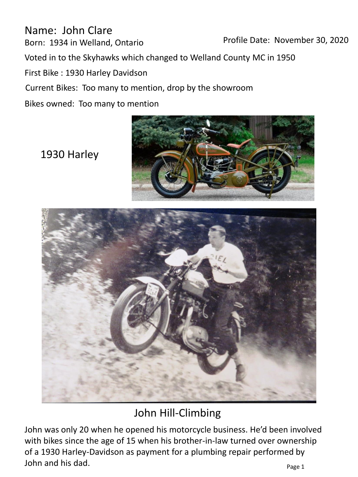Name: John Clare Born: 1934 in Welland, Ontario Voted in to the Skyhawks which changed to Welland County MC in 1950 First Bike : 1930 Harley Davidson Bikes owned: Too many to mention Current Bikes: Too many to mention, drop by the showroom Profile Date: November 30, 2020

1930 Harley





## John Hill-Climbing

John was only 20 when he opened his motorcycle business. He'd been involved with bikes since the age of 15 when his brother-in-law turned over ownership of a 1930 Harley-Davidson as payment for a plumbing repair performed by John and his dad. Page 1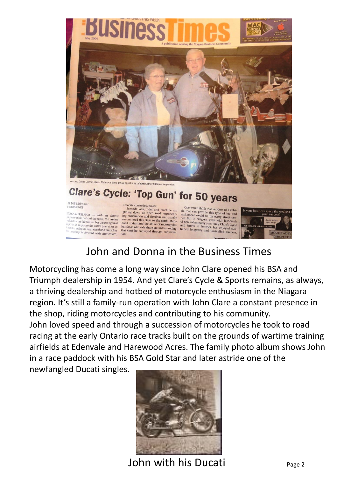

 $\begin{tabular}{l|c|c|c|c|c|c|c|c} \hline \textbf{BVB} \textbf{BDDYOOAT} & \textbf{smooth, controlled, power.} & \textbf{Seconds later, rider and machine are} & \textbf{One would think that vendors of a vehi-SIMER} & \textbf{StP0AB} & \textbf{gllindna} & \textbf{non.} & \textbf{non.} & \textbf{non.} & \textbf{non.} & \textbf{non.} & \textbf{non.} & \textbf{non.} & \textbf{non.} & \textbf{non.} & \textbf{non.} & \textbf{non.} & \textbf{non.} & \textbf{non.} & \textbf{non.$ 



## John and Donna in the Business Times

Motorcycling has come a long way since John Clare opened his BSA and Triumph dealership in 1954. And yet Clare's Cycle & Sports remains, as always, a thriving dealership and hotbed of motorcycle enthusiasm in the Niagara region. It's still a family-run operation with John Clare a constant presence in the shop, riding motorcycles and contributing to his community. John loved speed and through a succession of motorcycles he took to road racing at the early Ontario race tracks built on the grounds of wartime training airfields at Edenvale and Harewood Acres. The family photo album shows John in a race paddock with his BSA Gold Star and later astride one of the

newfangled Ducati singles.



John with his Ducati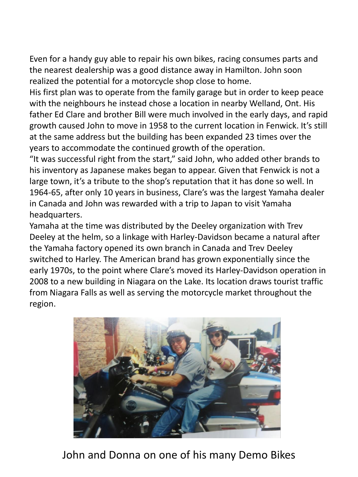Even for a handy guy able to repair his own bikes, racing consumes parts and the nearest dealership was a good distance away in Hamilton. John soon realized the potential for a motorcycle shop close to home.

His first plan was to operate from the family garage but in order to keep peace with the neighbours he instead chose a location in nearby Welland, Ont. His father Ed Clare and brother Bill were much involved in the early days, and rapid growth caused John to move in 1958 to the current location in Fenwick. It's still at the same address but the building has been expanded 23 times over the years to accommodate the continued growth of the operation.

"It was successful right from the start," said John, who added other brands to his inventory as Japanese makes began to appear. Given that Fenwick is not a large town, it's a tribute to the shop's reputation that it has done so well. In 1964-65, after only 10 years in business, Clare's was the largest Yamaha dealer in Canada and John was rewarded with a trip to Japan to visit Yamaha headquarters.

Yamaha at the time was distributed by the Deeley organization with Trev Deeley at the helm, so a linkage with Harley-Davidson became a natural after the Yamaha factory opened its own branch in Canada and Trev Deeley switched to Harley. The American brand has grown exponentially since the early 1970s, to the point where Clare's moved its Harley-Davidson operation in 2008 to a new building in Niagara on the Lake. Its location draws tourist traffic from Niagara Falls as well as serving the motorcycle market throughout the region.



John and Donna on one of his many Demo Bikes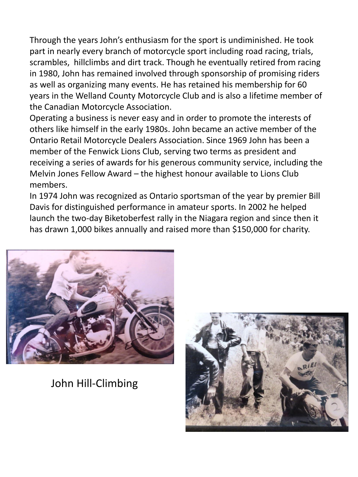Through the years John's enthusiasm for the sport is undiminished. He took part in nearly every branch of motorcycle sport including road racing, trials, scrambles, hillclimbs and dirt track. Though he eventually retired from racing in 1980, John has remained involved through sponsorship of promising riders as well as organizing many events. He has retained his membership for 60 years in the Welland County Motorcycle Club and is also a lifetime member of the Canadian Motorcycle Association.

Operating a business is never easy and in order to promote the interests of others like himself in the early 1980s. John became an active member of the Ontario Retail Motorcycle Dealers Association. Since 1969 John has been a member of the Fenwick Lions Club, serving two terms as president and receiving a series of awards for his generous community service, including the Melvin Jones Fellow Award – the highest honour available to Lions Club members.

In 1974 John was recognized as Ontario sportsman of the year by premier Bill Davis for distinguished performance in amateur sports. In 2002 he helped launch the two-day Biketoberfest rally in the Niagara region and since then it has drawn 1,000 bikes annually and raised more than \$150,000 for charity.



John Hill-Climbing

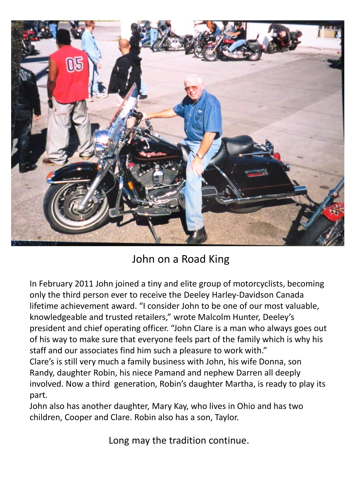

## John on a Road King

In February 2011 John joined a tiny and elite group of motorcyclists, becoming only the third person ever to receive the Deeley Harley-Davidson Canada lifetime achievement award. "I consider John to be one of our most valuable, knowledgeable and trusted retailers," wrote Malcolm Hunter, Deeley's president and chief operating officer. "John Clare is a man who always goes out of his way to make sure that everyone feels part of the family which is why his staff and our associates find him such a pleasure to work with."

Clare's is still very much a family business with John, his wife Donna, son Randy, daughter Robin, his niece Pamand and nephew Darren all deeply involved. Now a third generation, Robin's daughter Martha, is ready to play its part.

John also has another daughter, Mary Kay, who lives in Ohio and has two children, Cooper and Clare. Robin also has a son, Taylor.

Long may the tradition continue.